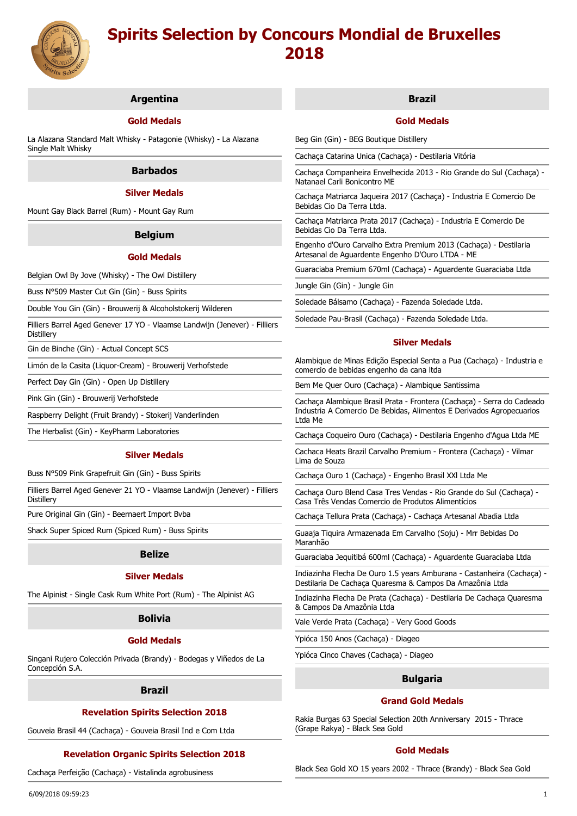

# **Argentina**

# **Gold Medals**

La Alazana Standard Malt Whisky - Patagonie (Whisky) - La Alazana Single Malt Whisky

## **Barbados**

# **Silver Medals**

Mount Gay Black Barrel (Rum) - Mount Gay Rum

## **Belgium**

#### **Gold Medals**

Belgian Owl By Jove (Whisky) - The Owl Distillery

Buss N°509 Master Cut Gin (Gin) - Buss Spirits

Double You Gin (Gin) - Brouwerij & Alcoholstokerij Wilderen

Filliers Barrel Aged Genever 17 YO - Vlaamse Landwijn (Jenever) - Filliers Distillery

Gin de Binche (Gin) - Actual Concept SCS

Limón de la Casita (Liquor-Cream) - Brouwerij Verhofstede

Perfect Day Gin (Gin) - Open Up Distillery

Pink Gin (Gin) - Brouwerij Verhofstede

Raspberry Delight (Fruit Brandy) - Stokerij Vanderlinden

The Herbalist (Gin) - KeyPharm Laboratories

#### **Silver Medals**

Buss N°509 Pink Grapefruit Gin (Gin) - Buss Spirits

Filliers Barrel Aged Genever 21 YO - Vlaamse Landwijn (Jenever) - Filliers Distillery

Pure Original Gin (Gin) - Beernaert Import Bvba

Shack Super Spiced Rum (Spiced Rum) - Buss Spirits

#### **Belize**

## **Silver Medals**

The Alpinist - Single Cask Rum White Port (Rum) - The Alpinist AG

# **Bolivia**

## **Gold Medals**

Singani Rujero Colección Privada (Brandy) - Bodegas y Viñedos de La Concepción S.A.

#### **Brazil**

# **Revelation Spirits Selection 2018**

Gouveia Brasil 44 (Cachaça) - Gouveia Brasil Ind e Com Ltda

# **Revelation Organic Spirits Selection 2018**

Cachaça Perfeição (Cachaça) - Vistalinda agrobusiness

# **Brazil**

# **Gold Medals**

Beg Gin (Gin) - BEG Boutique Distillery

Cachaça Catarina Unica (Cachaça) - Destilaria Vitória

Cachaça Companheira Envelhecida 2013 - Rio Grande do Sul (Cachaça) - Natanael Carli Bonicontro ME

Cachaça Matriarca Jaqueira 2017 (Cachaça) - Industria E Comercio De Bebidas Cio Da Terra Ltda.

Cachaça Matriarca Prata 2017 (Cachaça) - Industria E Comercio De Bebidas Cio Da Terra Ltda.

Engenho d'Ouro Carvalho Extra Premium 2013 (Cachaça) - Destilaria Artesanal de Aguardente Engenho D'Ouro LTDA - ME

Guaraciaba Premium 670ml (Cachaça) - Aguardente Guaraciaba Ltda

Jungle Gin (Gin) - Jungle Gin

Soledade Bálsamo (Cachaça) - Fazenda Soledade Ltda.

Soledade Pau-Brasil (Cachaça) - Fazenda Soledade Ltda.

## **Silver Medals**

Alambique de Minas Edição Especial Senta a Pua (Cachaça) - Industria e comercio de bebidas engenho da cana ltda

Bem Me Quer Ouro (Cachaça) - Alambique Santissima

Cachaça Alambique Brasil Prata - Frontera (Cachaça) - Serra do Cadeado Industria A Comercio De Bebidas, Alimentos E Derivados Agropecuarios Ltda Me

Cachaça Coqueiro Ouro (Cachaça) - Destilaria Engenho d'Agua Ltda ME

Cachaca Heats Brazil Carvalho Premium - Frontera (Cachaça) - Vilmar Lima de Souza

Cachaça Ouro 1 (Cachaça) - Engenho Brasil XXl Ltda Me

Cachaça Ouro Blend Casa Tres Vendas - Rio Grande do Sul (Cachaça) - Casa Três Vendas Comercio de Produtos Alimentícios

Cachaça Tellura Prata (Cachaça) - Cachaça Artesanal Abadia Ltda

Guaaja Tiquira Armazenada Em Carvalho (Soju) - Mrr Bebidas Do Maranhão

Guaraciaba Jequitibá 600ml (Cachaça) - Aguardente Guaraciaba Ltda

Indiazinha Flecha De Ouro 1.5 years Amburana - Castanheira (Cachaça) - Destilaria De Cachaça Quaresma & Campos Da Amazônia Ltda

Indiazinha Flecha De Prata (Cachaça) - Destilaria De Cachaça Quaresma & Campos Da Amazônia Ltda

Vale Verde Prata (Cachaça) - Very Good Goods

Ypióca 150 Anos (Cachaça) - Diageo

Ypióca Cinco Chaves (Cachaça) - Diageo

## **Bulgaria**

# **Grand Gold Medals**

Rakia Burgas 63 Special Selection 20th Anniversary 2015 - Thrace (Grape Rakya) - Black Sea Gold

## **Gold Medals**

Black Sea Gold XO 15 years 2002 - Thrace (Brandy) - Black Sea Gold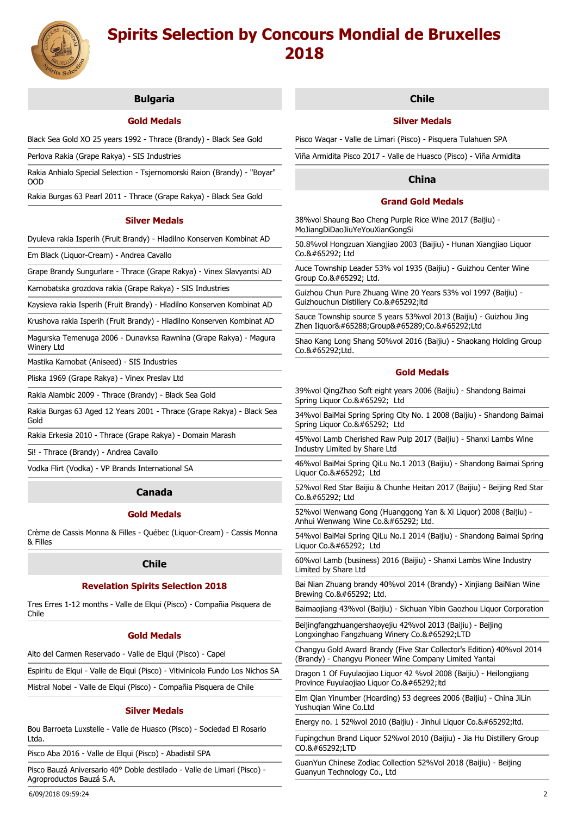

# **Bulgaria**

# **Gold Medals**

Black Sea Gold XO 25 years 1992 - Thrace (Brandy) - Black Sea Gold

Perlova Rakia (Grape Rakya) - SIS Industries

Rakia Anhialo Special Selection - Tsjernomorski Raion (Brandy) - "Boyar" OOD

Rakia Burgas 63 Pearl 2011 - Thrace (Grape Rakya) - Black Sea Gold

## **Silver Medals**

Dyuleva rakia Isperih (Fruit Brandy) - Hladilno Konserven Kombinat AD

Em Black (Liquor-Cream) - Andrea Cavallo

Grape Brandy Sungurlare - Thrace (Grape Rakya) - Vinex Slavyantsi AD

Karnobatska grozdova rakia (Grape Rakya) - SIS Industries

Kaysieva rakia Isperih (Fruit Brandy) - Hladilno Konserven Kombinat AD

Krushova rakia Isperih (Fruit Brandy) - Hladilno Konserven Kombinat AD

Magurska Temenuga 2006 - Dunavksa Rawnina (Grape Rakya) - Magura Winery Ltd

Mastika Karnobat (Aniseed) - SIS Industries

Pliska 1969 (Grape Rakya) - Vinex Preslav Ltd

Rakia Alambic 2009 - Thrace (Brandy) - Black Sea Gold

Rakia Burgas 63 Aged 12 Years 2001 - Thrace (Grape Rakya) - Black Sea Gold

Rakia Erkesia 2010 - Thrace (Grape Rakya) - Domain Marash

Si! - Thrace (Brandy) - Andrea Cavallo

Vodka Flirt (Vodka) - VP Brands International SA

# **Canada**

## **Gold Medals**

Crème de Cassis Monna & Filles - Québec (Liquor-Cream) - Cassis Monna & Filles

## **Chile**

# **Revelation Spirits Selection 2018**

Tres Erres 1-12 months - Valle de Elqui (Pisco) - Compañia Pisquera de Chile

#### **Gold Medals**

Alto del Carmen Reservado - Valle de Elqui (Pisco) - Capel

Espiritu de Elqui - Valle de Elqui (Pisco) - Vitivinicola Fundo Los Nichos SA

Mistral Nobel - Valle de Elqui (Pisco) - Compañia Pisquera de Chile

# **Silver Medals**

Bou Barroeta Luxstelle - Valle de Huasco (Pisco) - Sociedad El Rosario Ltda.

Pisco Aba 2016 - Valle de Elqui (Pisco) - Abadistil SPA

Pisco Bauzá Aniversario 40° Doble destilado - Valle de Limari (Pisco) - Agroproductos Bauzá S.A.

# **Chile**

## **Silver Medals**

Pisco Waqar - Valle de Limari (Pisco) - Pisquera Tulahuen SPA

Viña Armidita Pisco 2017 - Valle de Huasco (Pisco) - Viña Armidita

# **China**

# **Grand Gold Medals**

38%vol Shaung Bao Cheng Purple Rice Wine 2017 (Baijiu) - MoJiangDiDaoJiuYeYouXianGongSi

50.8%vol Hongzuan Xiangjiao 2003 (Baijiu) - Hunan Xiangjiao Liquor  $C_0$  & #65292; Ltd

Auce Township Leader 53% vol 1935 (Baijiu) - Guizhou Center Wine Group Co.&#65292: Ltd.

Guizhou Chun Pure Zhuang Wine 20 Years 53% vol 1997 (Baijiu) - Guizhouchun Distillery Co.,ltd

Sauce Township source 5 years 53%vol 2013 (Baijiu) - Guizhou Jing Zhen Iiquor(Group)Co.,Ltd

Shao Kang Long Shang 50%vol 2016 (Baijiu) - Shaokang Holding Group Co.,Ltd.

## **Gold Medals**

39%vol QingZhao Soft eight years 2006 (Baijiu) - Shandong Baimai Spring Liquor Co., Ltd

34%vol BaiMai Spring Spring City No. 1 2008 (Baijiu) - Shandong Baimai Spring Liquor Co., Ltd

45%vol Lamb Cherished Raw Pulp 2017 (Baijiu) - Shanxi Lambs Wine Industry Limited by Share Ltd

46%vol BaiMai Spring QiLu No.1 2013 (Baijiu) - Shandong Baimai Spring Liquor Co., Ltd

52%vol Red Star Baijiu & Chunhe Heitan 2017 (Baijiu) - Beijing Red Star Co., Ltd

52%vol Wenwang Gong (Huanggong Yan & Xi Liquor) 2008 (Baijiu) - Anhui Wenwang Wine Co., Ltd.

54%vol BaiMai Spring QiLu No.1 2014 (Baijiu) - Shandong Baimai Spring Liquor Co., Ltd

60%vol Lamb (business) 2016 (Baijiu) - Shanxi Lambs Wine Industry Limited by Share Ltd

Bai Nian Zhuang brandy 40%vol 2014 (Brandy) - Xinjiang BaiNian Wine Brewing Co., Ltd.

Baimaojiang 43%vol (Baijiu) - Sichuan Yibin Gaozhou Liquor Corporation

Beijingfangzhuangershaoyejiu 42%vol 2013 (Baijiu) - Beijing Longxinghao Fangzhuang Winery Co.&#65292:LTD

Changyu Gold Award Brandy (Five Star Collector's Edition) 40%vol 2014 (Brandy) - Changyu Pioneer Wine Company Limited Yantai

Dragon 1 Of Fuyulaojiao Liquor 42 %vol 2008 (Baijiu) - Heilongjiang Province Fuyulaojiao Liquor Co.,ltd

Elm Qian Yinumber (Hoarding) 53 degrees 2006 (Baijiu) - China JiLin Yushuqian Wine Co.Ltd

Energy no. 1 52% vol 2010 (Baijiu) - Jinhui Liquor Co.& #65292; ltd.

Fupingchun Brand Liquor 52%vol 2010 (Baijiu) - Jia Hu Distillery Group CO.&#65292:LTD

GuanYun Chinese Zodiac Collection 52%Vol 2018 (Baijiu) - Beijing Guanyun Technology Co., Ltd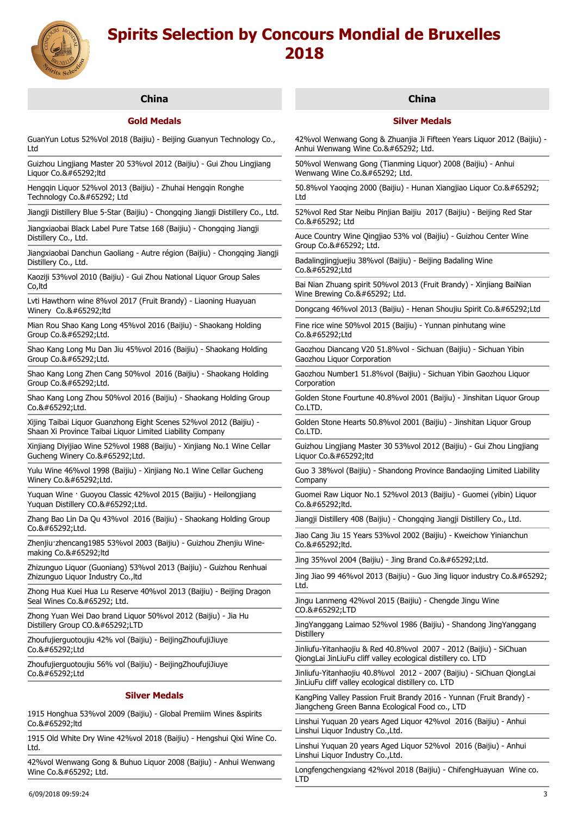

# **China**

# **Gold Medals**

GuanYun Lotus 52%Vol 2018 (Baijiu) - Beijing Guanyun Technology Co., Ltd

Guizhou Lingjiang Master 20 53%vol 2012 (Baijiu) - Gui Zhou Lingjiang Liquor Co.,ltd

Hengqin Liquor 52%vol 2013 (Baijiu) - Zhuhai Hengqin Ronghe Technology Co., Ltd

Jiangji Distillery Blue 5-Star (Baijiu) - Chongqing Jiangji Distillery Co., Ltd.

Jiangxiaobai Black Label Pure Tatse 168 (Baijiu) - Chongqing Jiangji Distillery Co., Ltd.

Jiangxiaobai Danchun Gaoliang - Autre région (Baijiu) - Chongqing Jiangji Distillery Co., Ltd.

Kaoziji 53%vol 2010 (Baijiu) - Gui Zhou National Liquor Group Sales Co,ltd

Lvti Hawthorn wine 8%vol 2017 (Fruit Brandy) - Liaoning Huayuan Winery Co.&#65292:ltd

Mian Rou Shao Kang Long 45%vol 2016 (Baijiu) - Shaokang Holding Group Co.,Ltd.

Shao Kang Long Mu Dan Jiu 45%vol 2016 (Baijiu) - Shaokang Holding Group Co.,Ltd.

Shao Kang Long Zhen Cang 50%vol 2016 (Baijiu) - Shaokang Holding Group Co.,Ltd.

Shao Kang Long Zhou 50%vol 2016 (Baijiu) - Shaokang Holding Group Co.,Ltd.

Xijing Taibai Liquor Guanzhong Eight Scenes 52%vol 2012 (Baijiu) - Shaan Xi Province Taibai Liquor Limited Liability Company

Xinjiang Diyijiao Wine 52%vol 1988 (Baijiu) - Xinjiang No.1 Wine Cellar Gucheng Winery Co.,Ltd.

Yulu Wine 46%vol 1998 (Baijiu) - Xinjiang No.1 Wine Cellar Gucheng Winery Co.,Ltd.

Yuquan Wine · Guoyou Classic 42%vol 2015 (Baijiu) - Heilongjiang Yuquan Distillery CO.,Ltd.

Zhang Bao Lin Da Qu 43%vol 2016 (Baijiu) - Shaokang Holding Group  $Co.8#65292:$ Ltd.

Zhenjiu·zhencang1985 53%vol 2003 (Baijiu) - Guizhou Zhenjiu Winemaking Co.,ltd

Zhizunguo Liquor (Guoniang) 53%vol 2013 (Baijiu) - Guizhou Renhuai Zhizunguo Liquor Industry Co.,ltd

Zhong Hua Kuei Hua Lu Reserve 40%vol 2013 (Baijiu) - Beijing Dragon Seal Wines Co., Ltd.

Zhong Yuan Wei Dao brand Liquor 50%vol 2012 (Baijiu) - Jia Hu Distillery Group CO.,LTD

Zhoufujierguotoujiu 42% vol (Baijiu) - BeijingZhoufujiJiuye Co.,Ltd

Zhoufujierguotoujiu 56% vol (Baijiu) - BeijingZhoufujiJiuye Co.,Ltd

# **Silver Medals**

1915 Honghua 53%vol 2009 (Baijiu) - Global Premiim Wines &spirits Co.,ltd

1915 Old White Dry Wine 42%vol 2018 (Baijiu) - Hengshui Qixi Wine Co. Ltd.

42%vol Wenwang Gong & Buhuo Liquor 2008 (Baijiu) - Anhui Wenwang Wine Co., Ltd.

# **China**

# **Silver Medals**

42%vol Wenwang Gong & Zhuanjia Ji Fifteen Years Liquor 2012 (Baijiu) - Anhui Wenwang Wine Co., Ltd.

50%vol Wenwang Gong (Tianming Liquor) 2008 (Baijiu) - Anhui Wenwang Wine Co., Ltd.

50.8%vol Yaoqing 2000 (Baijiu) - Hunan Xiangjiao Liquor Co., Ltd

52%vol Red Star Neibu Pinjian Baijiu 2017 (Baijiu) - Beijing Red Star  $C_0$  & #65292; Ltd

Auce Country Wine Qingjiao 53% vol (Baijiu) - Guizhou Center Wine Group Co., Ltd.

Badalingjingjuejiu 38%vol (Baijiu) - Beijing Badaling Wine  $Co.8#65292:$ Ltd

Bai Nian Zhuang spirit 50%vol 2013 (Fruit Brandy) - Xinjiang BaiNian Wine Brewing Co., Ltd.

Dongcang 46%vol 2013 (Baijiu) - Henan Shoujiu Spirit Co.,Ltd

Fine rice wine 50%vol 2015 (Baijiu) - Yunnan pinhutang wine Co.,Ltd

Gaozhou Diancang V20 51.8%vol - Sichuan (Baijiu) - Sichuan Yibin Gaozhou Liquor Corporation

Gaozhou Number1 51.8%vol (Baijiu) - Sichuan Yibin Gaozhou Liquor Corporation

Golden Stone Fourtune 40.8%vol 2001 (Baijiu) - Jinshitan Liquor Group Co.LTD.

Golden Stone Hearts 50.8%vol 2001 (Baijiu) - Jinshitan Liquor Group Co.LTD.

Guizhou Lingjiang Master 30 53%vol 2012 (Baijiu) - Gui Zhou Lingjiang  $Lianor$  Co. $，$ : Itd

Guo 3 38%vol (Baijiu) - Shandong Province Bandaojing Limited Liability Company

Guomei Raw Liquor No.1 52%vol 2013 (Baijiu) - Guomei (yibin) Liquor  $Co.8#65292:$ Itd.

Jiangji Distillery 408 (Baijiu) - Chongqing Jiangji Distillery Co., Ltd.

Jiao Cang Jiu 15 Years 53%vol 2002 (Baijiu) - Kweichow Yinianchun Co.,ltd.

Jing 35%vol 2004 (Baijiu) - Jing Brand Co. $，$ :Ltd.

Jing Jiao 99 46%vol 2013 (Baijiu) - Guo Jing liquor industry Co., Ltd.

Jingu Lanmeng 42%vol 2015 (Baijiu) - Chengde Jingu Wine CO.,LTD

JingYanggang Laimao 52%vol 1986 (Baijiu) - Shandong JingYanggang **Distillerv** 

Jinliufu-Yitanhaojiu & Red 40.8%vol 2007 - 2012 (Baijiu) - SiChuan QiongLai JinLiuFu cliff valley ecological distillery co. LTD

Jinliufu-Yitanhaojiu 40.8%vol 2012 - 2007 (Baijiu) - SiChuan QiongLai JinLiuFu cliff valley ecological distillery co. LTD

KangPing Valley Passion Fruit Brandy 2016 - Yunnan (Fruit Brandy) - Jiangcheng Green Banna Ecological Food co., LTD

Linshui Yuquan 20 years Aged Liquor 42%vol 2016 (Baijiu) - Anhui Linshui Liquor Industry Co.,Ltd.

Linshui Yuquan 20 years Aged Liquor 52%vol 2016 (Baijiu) - Anhui Linshui Liquor Industry Co.,Ltd.

Longfengchengxiang 42%vol 2018 (Baijiu) - ChifengHuayuan Wine co. LTD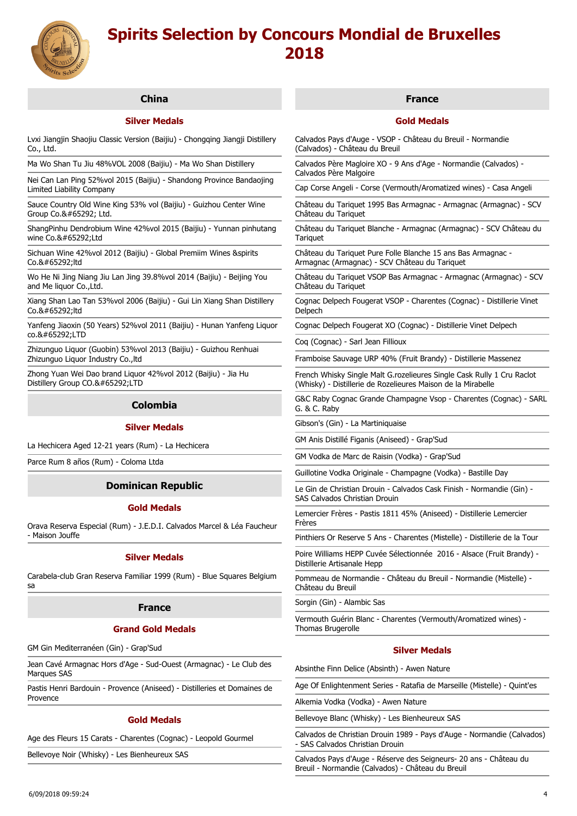

# **China**

# **Silver Medals**

Lvxi Jiangjin Shaojiu Classic Version (Baijiu) - Chongqing Jiangji Distillery Co., Ltd.

Ma Wo Shan Tu Jiu 48%VOL 2008 (Baijiu) - Ma Wo Shan Distillery

Nei Can Lan Ping 52%vol 2015 (Baijiu) - Shandong Province Bandaojing Limited Liability Company

Sauce Country Old Wine King 53% vol (Baijiu) - Guizhou Center Wine Group Co., Ltd.

ShangPinhu Dendrobium Wine 42%vol 2015 (Baijiu) - Yunnan pinhutang wine Co.&#65292:1td

Sichuan Wine 42%vol 2012 (Baijiu) - Global Premiim Wines &spirits  $C_0$  & #65292 ltd

Wo He Ni Jing Niang Jiu Lan Jing 39.8%vol 2014 (Baijiu) - Beijing You and Me liquor Co., Ltd.

Xiang Shan Lao Tan 53%vol 2006 (Baijiu) - Gui Lin Xiang Shan Distillery Co.&#65292:ltd

Yanfeng Jiaoxin (50 Years) 52%vol 2011 (Baijiu) - Hunan Yanfeng Liquor co.,LTD

Zhizunguo Liquor (Guobin) 53%vol 2013 (Baijiu) - Guizhou Renhuai Zhizunguo Liquor Industry Co.,ltd

Zhong Yuan Wei Dao brand Liquor 42%vol 2012 (Baijiu) - Jia Hu Distillery Group CO.,LTD

# **Colombia**

#### **Silver Medals**

La Hechicera Aged 12-21 years (Rum) - La Hechicera

Parce Rum 8 años (Rum) - Coloma Ltda

# **Dominican Republic**

# **Gold Medals**

Orava Reserva Especial (Rum) - J.E.D.I. Calvados Marcel & Léa Faucheur - Maison Jouffe

#### **Silver Medals**

Carabela-club Gran Reserva Familiar 1999 (Rum) - Blue Squares Belgium sa

#### **France**

#### **Grand Gold Medals**

GM Gin Mediterranéen (Gin) - Grap'Sud

Jean Cavé Armagnac Hors d'Age - Sud-Ouest (Armagnac) - Le Club des Marques SAS

Pastis Henri Bardouin - Provence (Aniseed) - Distilleries et Domaines de Provence

# **Gold Medals**

Age des Fleurs 15 Carats - Charentes (Cognac) - Leopold Gourmel

Bellevoye Noir (Whisky) - Les Bienheureux SAS

# **France**

## **Gold Medals**

Calvados Pays d'Auge - VSOP - Château du Breuil - Normandie (Calvados) - Château du Breuil

Calvados Père Magloire XO - 9 Ans d'Age - Normandie (Calvados) - Calvados Père Malgoire

Cap Corse Angeli - Corse (Vermouth/Aromatized wines) - Casa Angeli

Château du Tariquet 1995 Bas Armagnac - Armagnac (Armagnac) - SCV Château du Tariquet

Château du Tariquet Blanche - Armagnac (Armagnac) - SCV Château du **Tariquet** 

Château du Tariquet Pure Folle Blanche 15 ans Bas Armagnac - Armagnac (Armagnac) - SCV Château du Tariquet

Château du Tariquet VSOP Bas Armagnac - Armagnac (Armagnac) - SCV Château du Tariquet

Cognac Delpech Fougerat VSOP - Charentes (Cognac) - Distillerie Vinet Delpech

Cognac Delpech Fougerat XO (Cognac) - Distillerie Vinet Delpech

Coq (Cognac) - Sarl Jean Fillioux

Framboise Sauvage URP 40% (Fruit Brandy) - Distillerie Massenez

French Whisky Single Malt G.rozelieures Single Cask Rully 1 Cru Raclot (Whisky) - Distillerie de Rozelieures Maison de la Mirabelle

G&C Raby Cognac Grande Champagne Vsop - Charentes (Cognac) - SARL G. & C. Raby

Gibson's (Gin) - La Martiniquaise

GM Anis Distillé Figanis (Aniseed) - Grap'Sud

GM Vodka de Marc de Raisin (Vodka) - Grap'Sud

Guillotine Vodka Originale - Champagne (Vodka) - Bastille Day

Le Gin de Christian Drouin - Calvados Cask Finish - Normandie (Gin) - SAS Calvados Christian Drouin

Lemercier Frères - Pastis 1811 45% (Aniseed) - Distillerie Lemercier Frères

Pinthiers Or Reserve 5 Ans - Charentes (Mistelle) - Distillerie de la Tour

Poire Williams HEPP Cuvée Sélectionnée 2016 - Alsace (Fruit Brandy) - Distillerie Artisanale Hepp

Pommeau de Normandie - Château du Breuil - Normandie (Mistelle) - Château du Breuil

Sorgin (Gin) - Alambic Sas

Vermouth Guérin Blanc - Charentes (Vermouth/Aromatized wines) - Thomas Brugerolle

# **Silver Medals**

Absinthe Finn Delice (Absinth) - Awen Nature

Age Of Enlightenment Series - Ratafia de Marseille (Mistelle) - Quint'es

Alkemia Vodka (Vodka) - Awen Nature

Bellevoye Blanc (Whisky) - Les Bienheureux SAS

Calvados de Christian Drouin 1989 - Pays d'Auge - Normandie (Calvados) - SAS Calvados Christian Drouin

Calvados Pays d'Auge - Réserve des Seigneurs- 20 ans - Château du Breuil - Normandie (Calvados) - Château du Breuil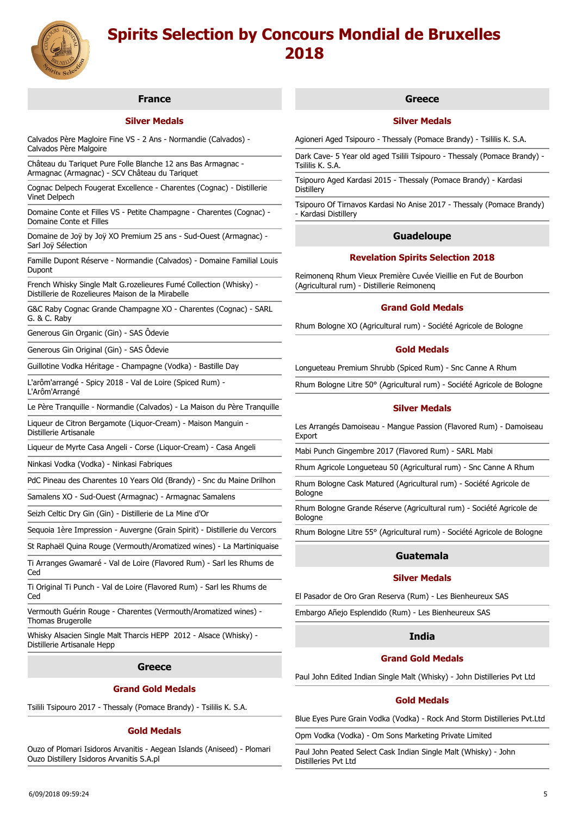

# **France**

# **Silver Medals**

Calvados Père Magloire Fine VS - 2 Ans - Normandie (Calvados) - Calvados Père Malgoire

Château du Tariquet Pure Folle Blanche 12 ans Bas Armagnac - Armagnac (Armagnac) - SCV Château du Tariquet

Cognac Delpech Fougerat Excellence - Charentes (Cognac) - Distillerie Vinet Delpech

Domaine Conte et Filles VS - Petite Champagne - Charentes (Cognac) - Domaine Conte et Filles

Domaine de Joÿ by Joÿ XO Premium 25 ans - Sud-Ouest (Armagnac) - Sarl Joÿ Sélection

Famille Dupont Réserve - Normandie (Calvados) - Domaine Familial Louis Dupont

French Whisky Single Malt G.rozelieures Fumé Collection (Whisky) - Distillerie de Rozelieures Maison de la Mirabelle

G&C Raby Cognac Grande Champagne XO - Charentes (Cognac) - SARL G. & C. Raby

Generous Gin Organic (Gin) - SAS Ôdevie

Generous Gin Original (Gin) - SAS Ôdevie

Guillotine Vodka Héritage - Champagne (Vodka) - Bastille Day

L'arôm'arrangé - Spicy 2018 - Val de Loire (Spiced Rum) - L'Arôm'Arrangé

Le Père Tranquille - Normandie (Calvados) - La Maison du Père Tranquille

Liqueur de Citron Bergamote (Liquor-Cream) - Maison Manguin -

Distillerie Artisanale

Liqueur de Myrte Casa Angeli - Corse (Liquor-Cream) - Casa Angeli

Ninkasi Vodka (Vodka) - Ninkasi Fabriques

PdC Pineau des Charentes 10 Years Old (Brandy) - Snc du Maine Drilhon

Samalens XO - Sud-Ouest (Armagnac) - Armagnac Samalens

Seizh Celtic Dry Gin (Gin) - Distillerie de La Mine d'Or

Sequoia 1ère Impression - Auvergne (Grain Spirit) - Distillerie du Vercors

St Raphaël Quina Rouge (Vermouth/Aromatized wines) - La Martiniquaise

Ti Arranges Gwamaré - Val de Loire (Flavored Rum) - Sarl les Rhums de Ced

Ti Original Ti Punch - Val de Loire (Flavored Rum) - Sarl les Rhums de Ced

Vermouth Guérin Rouge - Charentes (Vermouth/Aromatized wines) - Thomas Brugerolle

Whisky Alsacien Single Malt Tharcis HEPP 2012 - Alsace (Whisky) - Distillerie Artisanale Hepp

#### **Greece**

#### **Grand Gold Medals**

Tsilili Tsipouro 2017 - Thessaly (Pomace Brandy) - Tsililis K. S.A.

# **Gold Medals**

Ouzo of Plomari Isidoros Arvanitis - Aegean Islands (Aniseed) - Plomari Ouzo Distillery Isidoros Arvanitis S.A.pl

# **Greece**

# **Silver Medals**

Agioneri Aged Tsipouro - Thessaly (Pomace Brandy) - Tsililis K. S.A.

Dark Cave- 5 Year old aged Tsilili Tsipouro - Thessaly (Pomace Brandy) - Tsililis K. S.A.

Tsipouro Aged Kardasi 2015 - Thessaly (Pomace Brandy) - Kardasi **Distillery** 

Tsipouro Of Tirnavos Kardasi No Anise 2017 - Thessaly (Pomace Brandy) - Kardasi Distillery

# **Guadeloupe**

## **Revelation Spirits Selection 2018**

Reimonenq Rhum Vieux Première Cuvée Vieillie en Fut de Bourbon (Agricultural rum) - Distillerie Reimonenq

## **Grand Gold Medals**

Rhum Bologne XO (Agricultural rum) - Société Agricole de Bologne

## **Gold Medals**

Longueteau Premium Shrubb (Spiced Rum) - Snc Canne A Rhum

Rhum Bologne Litre 50° (Agricultural rum) - Société Agricole de Bologne

## **Silver Medals**

Les Arrangés Damoiseau - Mangue Passion (Flavored Rum) - Damoiseau Export

Mabi Punch Gingembre 2017 (Flavored Rum) - SARL Mabi

Rhum Agricole Longueteau 50 (Agricultural rum) - Snc Canne A Rhum

Rhum Bologne Cask Matured (Agricultural rum) - Société Agricole de Bologne

Rhum Bologne Grande Réserve (Agricultural rum) - Société Agricole de Bologne

Rhum Bologne Litre 55° (Agricultural rum) - Société Agricole de Bologne

# **Guatemala**

## **Silver Medals**

El Pasador de Oro Gran Reserva (Rum) - Les Bienheureux SAS

Embargo Añejo Esplendido (Rum) - Les Bienheureux SAS

# **India**

### **Grand Gold Medals**

Paul John Edited Indian Single Malt (Whisky) - John Distilleries Pvt Ltd

#### **Gold Medals**

Blue Eyes Pure Grain Vodka (Vodka) - Rock And Storm Distilleries Pvt.Ltd

Opm Vodka (Vodka) - Om Sons Marketing Private Limited

Paul John Peated Select Cask Indian Single Malt (Whisky) - John Distilleries Pvt Ltd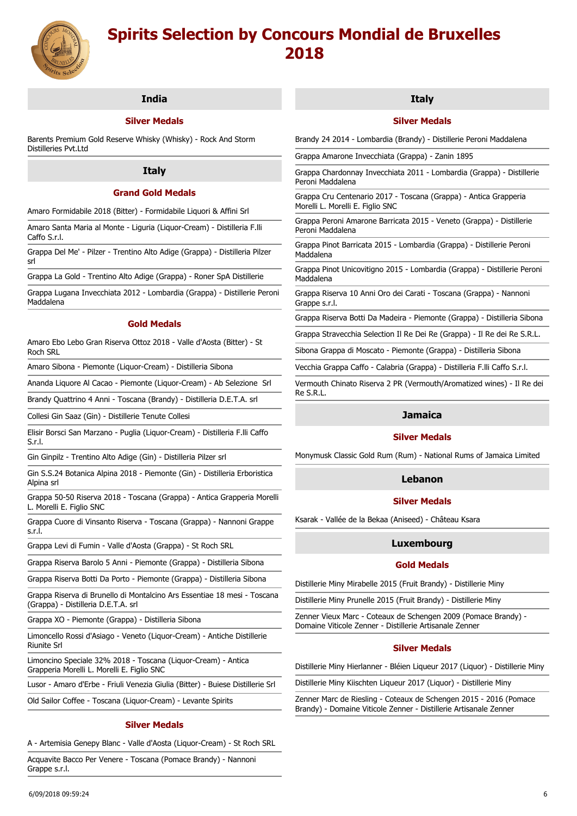

# **India**

# **Silver Medals**

Barents Premium Gold Reserve Whisky (Whisky) - Rock And Storm Distilleries Pvt.Ltd

## **Italy**

# **Grand Gold Medals**

Amaro Formidabile 2018 (Bitter) - Formidabile Liquori & Affini Srl

Amaro Santa Maria al Monte - Liguria (Liquor-Cream) - Distilleria F.lli Caffo S.r.l.

Grappa Del Me' - Pilzer - Trentino Alto Adige (Grappa) - Distilleria Pilzer srl

Grappa La Gold - Trentino Alto Adige (Grappa) - Roner SpA Distillerie

Grappa Lugana Invecchiata 2012 - Lombardia (Grappa) - Distillerie Peroni Maddalena

## **Gold Medals**

Amaro Ebo Lebo Gran Riserva Ottoz 2018 - Valle d'Aosta (Bitter) - St Roch SRL

Amaro Sibona - Piemonte (Liquor-Cream) - Distilleria Sibona

Ananda Liquore Al Cacao - Piemonte (Liquor-Cream) - Ab Selezione Srl

Brandy Quattrino 4 Anni - Toscana (Brandy) - Distilleria D.E.T.A. srl

Collesi Gin Saaz (Gin) - Distillerie Tenute Collesi

Elisir Borsci San Marzano - Puglia (Liquor-Cream) - Distilleria F.lli Caffo S.r.l.

Gin Ginpilz - Trentino Alto Adige (Gin) - Distilleria Pilzer srl

Gin S.S.24 Botanica Alpina 2018 - Piemonte (Gin) - Distilleria Erboristica Alpina srl

Grappa 50-50 Riserva 2018 - Toscana (Grappa) - Antica Grapperia Morelli L. Morelli E. Figlio SNC

Grappa Cuore di Vinsanto Riserva - Toscana (Grappa) - Nannoni Grappe s.r.l.

Grappa Levi di Fumin - Valle d'Aosta (Grappa) - St Roch SRL

Grappa Riserva Barolo 5 Anni - Piemonte (Grappa) - Distilleria Sibona

Grappa Riserva Botti Da Porto - Piemonte (Grappa) - Distilleria Sibona

Grappa Riserva di Brunello di Montalcino Ars Essentiae 18 mesi - Toscana (Grappa) - Distilleria D.E.T.A. srl

Grappa XO - Piemonte (Grappa) - Distilleria Sibona

Limoncello Rossi d'Asiago - Veneto (Liquor-Cream) - Antiche Distillerie Riunite Srl

Limoncino Speciale 32% 2018 - Toscana (Liquor-Cream) - Antica Grapperia Morelli L. Morelli E. Figlio SNC

Lusor - Amaro d'Erbe - Friuli Venezia Giulia (Bitter) - Buiese Distillerie Srl

Old Sailor Coffee - Toscana (Liquor-Cream) - Levante Spirits

# **Silver Medals**

A - Artemisia Genepy Blanc - Valle d'Aosta (Liquor-Cream) - St Roch SRL

Acquavite Bacco Per Venere - Toscana (Pomace Brandy) - Nannoni Grappe s.r.l.

## **Italy**

# **Silver Medals**

Brandy 24 2014 - Lombardia (Brandy) - Distillerie Peroni Maddalena

Grappa Amarone Invecchiata (Grappa) - Zanin 1895

Grappa Chardonnay Invecchiata 2011 - Lombardia (Grappa) - Distillerie Peroni Maddalena

Grappa Cru Centenario 2017 - Toscana (Grappa) - Antica Grapperia Morelli L. Morelli E. Figlio SNC

Grappa Peroni Amarone Barricata 2015 - Veneto (Grappa) - Distillerie Peroni Maddalena

Grappa Pinot Barricata 2015 - Lombardia (Grappa) - Distillerie Peroni Maddalena

Grappa Pinot Unicovitigno 2015 - Lombardia (Grappa) - Distillerie Peroni Maddalena

Grappa Riserva 10 Anni Oro dei Carati - Toscana (Grappa) - Nannoni Grappe s.r.l.

Grappa Riserva Botti Da Madeira - Piemonte (Grappa) - Distilleria Sibona

Grappa Stravecchia Selection Il Re Dei Re (Grappa) - Il Re dei Re S.R.L.

Sibona Grappa di Moscato - Piemonte (Grappa) - Distilleria Sibona

Vecchia Grappa Caffo - Calabria (Grappa) - Distilleria F.lli Caffo S.r.l.

Vermouth Chinato Riserva 2 PR (Vermouth/Aromatized wines) - Il Re dei Re S.R.L.

## **Jamaica**

## **Silver Medals**

Monymusk Classic Gold Rum (Rum) - National Rums of Jamaica Limited

## **Lebanon**

## **Silver Medals**

Ksarak - Vallée de la Bekaa (Aniseed) - Château Ksara

# **Luxembourg**

# **Gold Medals**

Distillerie Miny Mirabelle 2015 (Fruit Brandy) - Distillerie Miny

Distillerie Miny Prunelle 2015 (Fruit Brandy) - Distillerie Miny

Zenner Vieux Marc - Coteaux de Schengen 2009 (Pomace Brandy) - Domaine Viticole Zenner - Distillerie Artisanale Zenner

#### **Silver Medals**

Distillerie Miny Hierlanner - Bléien Liqueur 2017 (Liquor) - Distillerie Miny

Distillerie Miny Kiischten Liqueur 2017 (Liquor) - Distillerie Miny

Zenner Marc de Riesling - Coteaux de Schengen 2015 - 2016 (Pomace Brandy) - Domaine Viticole Zenner - Distillerie Artisanale Zenner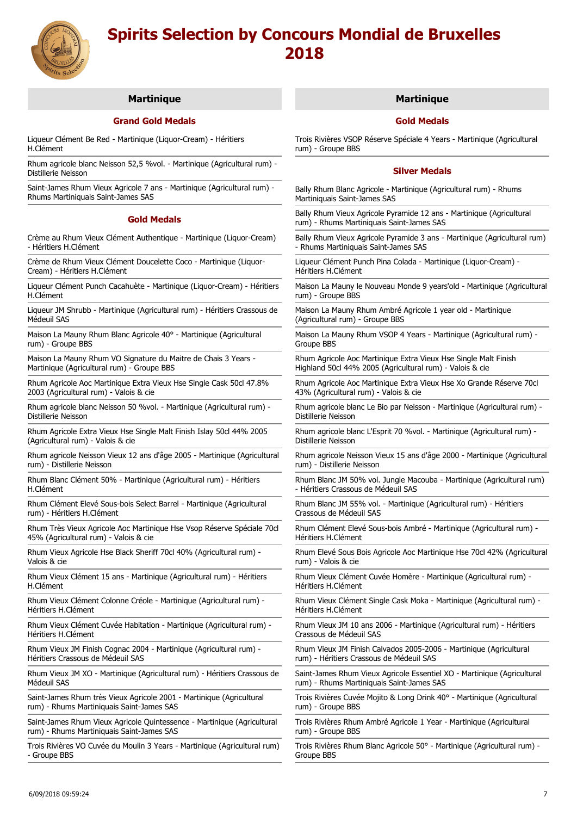

# **Martinique**

# **Grand Gold Medals**

Liqueur Clément Be Red - Martinique (Liquor-Cream) - Héritiers H.Clément

Rhum agricole blanc Neisson 52,5 %vol. - Martinique (Agricultural rum) - Distillerie Neisson

Saint-James Rhum Vieux Agricole 7 ans - Martinique (Agricultural rum) - Rhums Martiniquais Saint-James SAS

## **Gold Medals**

Crème au Rhum Vieux Clément Authentique - Martinique (Liquor-Cream) - Héritiers H.Clément

Crème de Rhum Vieux Clément Doucelette Coco - Martinique (Liquor-Cream) - Héritiers H.Clément

Liqueur Clément Punch Cacahuète - Martinique (Liquor-Cream) - Héritiers H.Clément

Liqueur JM Shrubb - Martinique (Agricultural rum) - Héritiers Crassous de Médeuil SAS

Maison La Mauny Rhum Blanc Agricole 40° - Martinique (Agricultural rum) - Groupe BBS

Maison La Mauny Rhum VO Signature du Maitre de Chais 3 Years - Martinique (Agricultural rum) - Groupe BBS

Rhum Agricole Aoc Martinique Extra Vieux Hse Single Cask 50cl 47.8% 2003 (Agricultural rum) - Valois & cie

Rhum agricole blanc Neisson 50 %vol. - Martinique (Agricultural rum) - Distillerie Neisson

Rhum Agricole Extra Vieux Hse Single Malt Finish Islay 50cl 44% 2005 (Agricultural rum) - Valois & cie

Rhum agricole Neisson Vieux 12 ans d'âge 2005 - Martinique (Agricultural rum) - Distillerie Neisson

Rhum Blanc Clément 50% - Martinique (Agricultural rum) - Héritiers H.Clément

Rhum Clément Elevé Sous-bois Select Barrel - Martinique (Agricultural rum) - Héritiers H.Clément

Rhum Très Vieux Agricole Aoc Martinique Hse Vsop Réserve Spéciale 70cl 45% (Agricultural rum) - Valois & cie

Rhum Vieux Agricole Hse Black Sheriff 70cl 40% (Agricultural rum) - Valois & cie

Rhum Vieux Clément 15 ans - Martinique (Agricultural rum) - Héritiers H.Clément

Rhum Vieux Clément Colonne Créole - Martinique (Agricultural rum) - Héritiers H.Clément

Rhum Vieux Clément Cuvée Habitation - Martinique (Agricultural rum) - Héritiers H.Clément

Rhum Vieux JM Finish Cognac 2004 - Martinique (Agricultural rum) - Héritiers Crassous de Médeuil SAS

Rhum Vieux JM XO - Martinique (Agricultural rum) - Héritiers Crassous de Médeuil SAS

Saint-James Rhum très Vieux Agricole 2001 - Martinique (Agricultural rum) - Rhums Martiniquais Saint-James SAS

Saint-James Rhum Vieux Agricole Quintessence - Martinique (Agricultural rum) - Rhums Martiniquais Saint-James SAS

Trois Rivières VO Cuvée du Moulin 3 Years - Martinique (Agricultural rum) - Groupe BBS

# **Martinique**

# **Gold Medals**

Trois Rivières VSOP Réserve Spéciale 4 Years - Martinique (Agricultural rum) - Groupe BBS

### **Silver Medals**

Bally Rhum Blanc Agricole - Martinique (Agricultural rum) - Rhums Martiniquais Saint-James SAS

Bally Rhum Vieux Agricole Pyramide 12 ans - Martinique (Agricultural rum) - Rhums Martiniquais Saint-James SAS

Bally Rhum Vieux Agricole Pyramide 3 ans - Martinique (Agricultural rum) - Rhums Martiniquais Saint-James SAS

Liqueur Clément Punch Pina Colada - Martinique (Liquor-Cream) - Héritiers H.Clément

Maison La Mauny le Nouveau Monde 9 years'old - Martinique (Agricultural rum) - Groupe BBS

Maison La Mauny Rhum Ambré Agricole 1 year old - Martinique (Agricultural rum) - Groupe BBS

Maison La Mauny Rhum VSOP 4 Years - Martinique (Agricultural rum) - Groupe BBS

Rhum Agricole Aoc Martinique Extra Vieux Hse Single Malt Finish Highland 50cl 44% 2005 (Agricultural rum) - Valois & cie

Rhum Agricole Aoc Martinique Extra Vieux Hse Xo Grande Réserve 70cl 43% (Agricultural rum) - Valois & cie

Rhum agricole blanc Le Bio par Neisson - Martinique (Agricultural rum) - Distillerie Neisson

Rhum agricole blanc L'Esprit 70 %vol. - Martinique (Agricultural rum) - Distillerie Neisson

Rhum agricole Neisson Vieux 15 ans d'âge 2000 - Martinique (Agricultural rum) - Distillerie Neisson

Rhum Blanc JM 50% vol. Jungle Macouba - Martinique (Agricultural rum) - Héritiers Crassous de Médeuil SAS

Rhum Blanc JM 55% vol. - Martinique (Agricultural rum) - Héritiers Crassous de Médeuil SAS

Rhum Clément Elevé Sous-bois Ambré - Martinique (Agricultural rum) - Héritiers H.Clément

Rhum Elevé Sous Bois Agricole Aoc Martinique Hse 70cl 42% (Agricultural rum) - Valois & cie

Rhum Vieux Clément Cuvée Homère - Martinique (Agricultural rum) - Héritiers H.Clément

Rhum Vieux Clément Single Cask Moka - Martinique (Agricultural rum) - Héritiers H.Clément

Rhum Vieux JM 10 ans 2006 - Martinique (Agricultural rum) - Héritiers Crassous de Médeuil SAS

Rhum Vieux JM Finish Calvados 2005-2006 - Martinique (Agricultural rum) - Héritiers Crassous de Médeuil SAS

Saint-James Rhum Vieux Agricole Essentiel XO - Martinique (Agricultural rum) - Rhums Martiniquais Saint-James SAS

Trois Rivières Cuvée Mojito & Long Drink 40° - Martinique (Agricultural rum) - Groupe BBS

Trois Rivières Rhum Ambré Agricole 1 Year - Martinique (Agricultural rum) - Groupe BBS

Trois Rivières Rhum Blanc Agricole 50° - Martinique (Agricultural rum) - Groupe BBS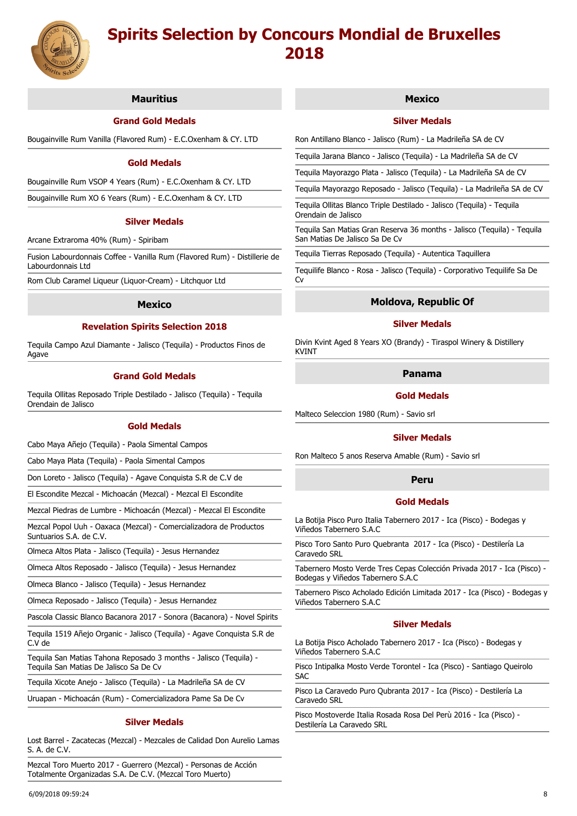

# **Mauritius**

# **Grand Gold Medals**

Bougainville Rum Vanilla (Flavored Rum) - E.C.Oxenham & CY. LTD

## **Gold Medals**

Bougainville Rum VSOP 4 Years (Rum) - E.C.Oxenham & CY. LTD

Bougainville Rum XO 6 Years (Rum) - E.C.Oxenham & CY. LTD

#### **Silver Medals**

Arcane Extraroma 40% (Rum) - Spiribam

Fusion Labourdonnais Coffee - Vanilla Rum (Flavored Rum) - Distillerie de Labourdonnais Ltd

Rom Club Caramel Liqueur (Liquor-Cream) - Litchquor Ltd

## **Mexico**

# **Revelation Spirits Selection 2018**

Tequila Campo Azul Diamante - Jalisco (Tequila) - Productos Finos de Agave

# **Grand Gold Medals**

Tequila Ollitas Reposado Triple Destilado - Jalisco (Tequila) - Tequila Orendain de Jalisco

#### **Gold Medals**

Cabo Maya Añejo (Tequila) - Paola Simental Campos

Cabo Maya Plata (Tequila) - Paola Simental Campos

Don Loreto - Jalisco (Tequila) - Agave Conquista S.R de C.V de

El Escondite Mezcal - Michoacán (Mezcal) - Mezcal El Escondite

Mezcal Piedras de Lumbre - Michoacán (Mezcal) - Mezcal El Escondite

Mezcal Popol Uuh - Oaxaca (Mezcal) - Comercializadora de Productos Suntuarios S.A. de C.V.

Olmeca Altos Plata - Jalisco (Tequila) - Jesus Hernandez

Olmeca Altos Reposado - Jalisco (Tequila) - Jesus Hernandez

Olmeca Blanco - Jalisco (Tequila) - Jesus Hernandez

Olmeca Reposado - Jalisco (Tequila) - Jesus Hernandez

Pascola Classic Blanco Bacanora 2017 - Sonora (Bacanora) - Novel Spirits

Tequila 1519 Añejo Organic - Jalisco (Tequila) - Agave Conquista S.R de C.V de

Tequila San Matias Tahona Reposado 3 months - Jalisco (Tequila) - Tequila San Matias De Jalisco Sa De Cv

Tequila Xicote Anejo - Jalisco (Tequila) - La Madrileña SA de CV

Uruapan - Michoacán (Rum) - Comercializadora Pame Sa De Cv

#### **Silver Medals**

Lost Barrel - Zacatecas (Mezcal) - Mezcales de Calidad Don Aurelio Lamas S. A. de C.V.

Mezcal Toro Muerto 2017 - Guerrero (Mezcal) - Personas de Acción Totalmente Organizadas S.A. De C.V. (Mezcal Toro Muerto)

## **Mexico**

## **Silver Medals**

Ron Antillano Blanco - Jalisco (Rum) - La Madrileña SA de CV

Tequila Jarana Blanco - Jalisco (Tequila) - La Madrileña SA de CV

Tequila Mayorazgo Plata - Jalisco (Tequila) - La Madrileña SA de CV

Tequila Mayorazgo Reposado - Jalisco (Tequila) - La Madrileña SA de CV

Tequila Ollitas Blanco Triple Destilado - Jalisco (Tequila) - Tequila Orendain de Jalisco

Tequila San Matias Gran Reserva 36 months - Jalisco (Tequila) - Tequila San Matias De Jalisco Sa De Cv

Tequila Tierras Reposado (Tequila) - Autentica Taquillera

Tequilife Blanco - Rosa - Jalisco (Tequila) - Corporativo Tequilife Sa De Cv

## **Moldova, Republic Of**

# **Silver Medals**

Divin Kvint Aged 8 Years XO (Brandy) - Tiraspol Winery & Distillery KVINT

# **Panama**

# **Gold Medals**

Malteco Seleccion 1980 (Rum) - Savio srl

#### **Silver Medals**

Ron Malteco 5 anos Reserva Amable (Rum) - Savio srl

# **Peru**

## **Gold Medals**

La Botija Pisco Puro Italia Tabernero 2017 - Ica (Pisco) - Bodegas y Viñedos Tabernero S.A.C

Pisco Toro Santo Puro Quebranta 2017 - Ica (Pisco) - Destilería La Caravedo SRL

Tabernero Mosto Verde Tres Cepas Colección Privada 2017 - Ica (Pisco) - Bodegas y Viñedos Tabernero S.A.C

Tabernero Pisco Acholado Edición Limitada 2017 - Ica (Pisco) - Bodegas y Viñedos Tabernero S.A.C

#### **Silver Medals**

La Botija Pisco Acholado Tabernero 2017 - Ica (Pisco) - Bodegas y Viñedos Tabernero S.A.C

Pisco Intipalka Mosto Verde Torontel - Ica (Pisco) - Santiago Queirolo SAC

Pisco La Caravedo Puro Qubranta 2017 - Ica (Pisco) - Destilería La Caravedo SRL

Pisco Mostoverde Italia Rosada Rosa Del Perù 2016 - Ica (Pisco) - Destilería La Caravedo SRL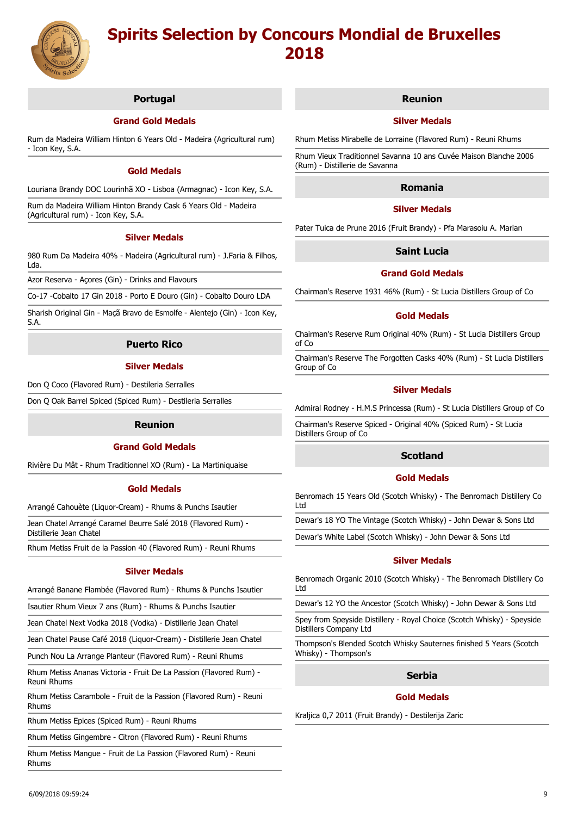

# **Portugal**

# **Grand Gold Medals**

Rum da Madeira William Hinton 6 Years Old - Madeira (Agricultural rum) - Icon Key, S.A.

## **Gold Medals**

Louriana Brandy DOC Lourinhã XO - Lisboa (Armagnac) - Icon Key, S.A.

Rum da Madeira William Hinton Brandy Cask 6 Years Old - Madeira (Agricultural rum) - Icon Key, S.A.

# **Silver Medals**

980 Rum Da Madeira 40% - Madeira (Agricultural rum) - J.Faria & Filhos, Lda.

Azor Reserva - Açores (Gin) - Drinks and Flavours

Co-17 -Cobalto 17 Gin 2018 - Porto E Douro (Gin) - Cobalto Douro LDA

Sharish Original Gin - Maçã Bravo de Esmolfe - Alentejo (Gin) - Icon Key, S.A.

# **Puerto Rico**

## **Silver Medals**

Don Q Coco (Flavored Rum) - Destileria Serralles

Don Q Oak Barrel Spiced (Spiced Rum) - Destileria Serralles

# **Reunion**

# **Grand Gold Medals**

Rivière Du Mât - Rhum Traditionnel XO (Rum) - La Martiniquaise

# **Gold Medals**

Arrangé Cahouète (Liquor-Cream) - Rhums & Punchs Isautier

Jean Chatel Arrangé Caramel Beurre Salé 2018 (Flavored Rum) - Distillerie Jean Chatel

Rhum Metiss Fruit de la Passion 40 (Flavored Rum) - Reuni Rhums

# **Silver Medals**

Arrangé Banane Flambée (Flavored Rum) - Rhums & Punchs Isautier

Isautier Rhum Vieux 7 ans (Rum) - Rhums & Punchs Isautier

Jean Chatel Next Vodka 2018 (Vodka) - Distillerie Jean Chatel

Jean Chatel Pause Café 2018 (Liquor-Cream) - Distillerie Jean Chatel

Punch Nou La Arrange Planteur (Flavored Rum) - Reuni Rhums

Rhum Metiss Ananas Victoria - Fruit De La Passion (Flavored Rum) - Reuni Rhums

Rhum Metiss Carambole - Fruit de la Passion (Flavored Rum) - Reuni Rhums

Rhum Metiss Epices (Spiced Rum) - Reuni Rhums

Rhum Metiss Gingembre - Citron (Flavored Rum) - Reuni Rhums

Rhum Metiss Mangue - Fruit de La Passion (Flavored Rum) - Reuni Rhums

#### **Reunion**

## **Silver Medals**

Rhum Metiss Mirabelle de Lorraine (Flavored Rum) - Reuni Rhums

Rhum Vieux Traditionnel Savanna 10 ans Cuvée Maison Blanche 2006 (Rum) - Distillerie de Savanna

# **Romania**

# **Silver Medals**

Pater Tuica de Prune 2016 (Fruit Brandy) - Pfa Marasoiu A. Marian

# **Saint Lucia**

# **Grand Gold Medals**

Chairman's Reserve 1931 46% (Rum) - St Lucia Distillers Group of Co

#### **Gold Medals**

Chairman's Reserve Rum Original 40% (Rum) - St Lucia Distillers Group of Co

Chairman's Reserve The Forgotten Casks 40% (Rum) - St Lucia Distillers Group of Co

## **Silver Medals**

Admiral Rodney - H.M.S Princessa (Rum) - St Lucia Distillers Group of Co

Chairman's Reserve Spiced - Original 40% (Spiced Rum) - St Lucia Distillers Group of Co

# **Scotland**

# **Gold Medals**

Benromach 15 Years Old (Scotch Whisky) - The Benromach Distillery Co Ltd

Dewar's 18 YO The Vintage (Scotch Whisky) - John Dewar & Sons Ltd

Dewar's White Label (Scotch Whisky) - John Dewar & Sons Ltd

#### **Silver Medals**

Benromach Organic 2010 (Scotch Whisky) - The Benromach Distillery Co Ltd

Dewar's 12 YO the Ancestor (Scotch Whisky) - John Dewar & Sons Ltd

Spey from Speyside Distillery - Royal Choice (Scotch Whisky) - Speyside Distillers Company Ltd

Thompson's Blended Scotch Whisky Sauternes finished 5 Years (Scotch Whisky) - Thompson's

# **Serbia**

# **Gold Medals**

Kraljica 0,7 2011 (Fruit Brandy) - Destilerija Zaric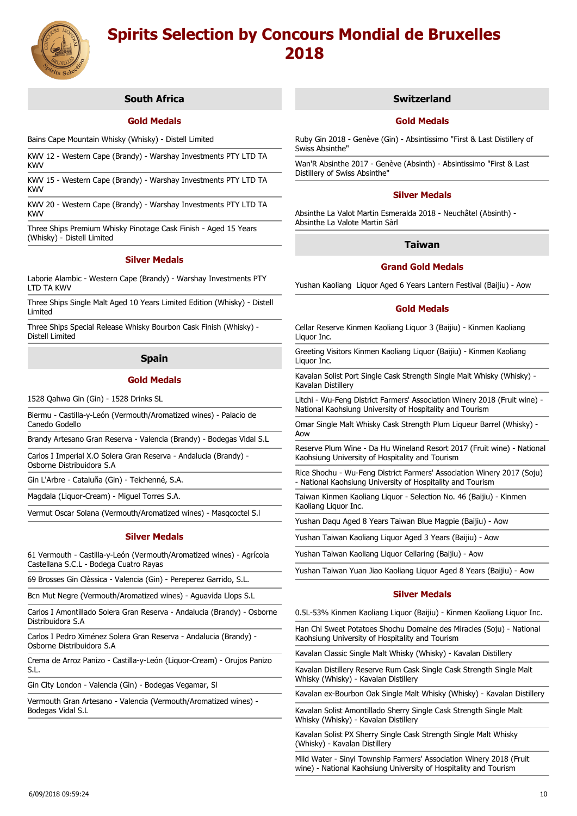

# **South Africa**

# **Gold Medals**

Bains Cape Mountain Whisky (Whisky) - Distell Limited

KWV 12 - Western Cape (Brandy) - Warshay Investments PTY LTD TA KWV

KWV 15 - Western Cape (Brandy) - Warshay Investments PTY LTD TA KWV

KWV 20 - Western Cape (Brandy) - Warshay Investments PTY LTD TA KWV

Three Ships Premium Whisky Pinotage Cask Finish - Aged 15 Years (Whisky) - Distell Limited

## **Silver Medals**

Laborie Alambic - Western Cape (Brandy) - Warshay Investments PTY LTD TA KWV

Three Ships Single Malt Aged 10 Years Limited Edition (Whisky) - Distell Limited

Three Ships Special Release Whisky Bourbon Cask Finish (Whisky) - Distell Limited

# **Spain**

## **Gold Medals**

1528 Qahwa Gin (Gin) - 1528 Drinks SL

Biermu - Castilla-y-León (Vermouth/Aromatized wines) - Palacio de Canedo Godello

Brandy Artesano Gran Reserva - Valencia (Brandy) - Bodegas Vidal S.L

Carlos I Imperial X.O Solera Gran Reserva - Andalucia (Brandy) - Osborne Distribuidora S.A

Gin L'Arbre - Cataluña (Gin) - Teichenné, S.A.

Magdala (Liquor-Cream) - Miguel Torres S.A.

Vermut Oscar Solana (Vermouth/Aromatized wines) - Masqcoctel S.l

# **Silver Medals**

61 Vermouth - Castilla-y-León (Vermouth/Aromatized wines) - Agrícola Castellana S.C.L - Bodega Cuatro Rayas

69 Brosses Gin Clàssica - Valencia (Gin) - Pereperez Garrido, S.L.

Bcn Mut Negre (Vermouth/Aromatized wines) - Aguavida Llops S.L

Carlos I Amontillado Solera Gran Reserva - Andalucia (Brandy) - Osborne Distribuidora S.A

Carlos I Pedro Ximénez Solera Gran Reserva - Andalucia (Brandy) - Osborne Distribuidora S.A

Crema de Arroz Panizo - Castilla-y-León (Liquor-Cream) - Orujos Panizo S.L.

Gin City London - Valencia (Gin) - Bodegas Vegamar, Sl

Vermouth Gran Artesano - Valencia (Vermouth/Aromatized wines) - Bodegas Vidal S.L

## **Switzerland**

## **Gold Medals**

Ruby Gin 2018 - Genève (Gin) - Absintissimo "First & Last Distillery of Swiss Absinthe"

Wan'R Absinthe 2017 - Genève (Absinth) - Absintissimo "First & Last Distillery of Swiss Absinthe"

#### **Silver Medals**

Absinthe La Valot Martin Esmeralda 2018 - Neuchâtel (Absinth) - Absinthe La Valote Martin Sàrl

# **Taiwan**

# **Grand Gold Medals**

Yushan Kaoliang Liquor Aged 6 Years Lantern Festival (Baijiu) - Aow

#### **Gold Medals**

Cellar Reserve Kinmen Kaoliang Liquor 3 (Baijiu) - Kinmen Kaoliang Liquor Inc.

Greeting Visitors Kinmen Kaoliang Liquor (Baijiu) - Kinmen Kaoliang Liquor Inc.

Kavalan Solist Port Single Cask Strength Single Malt Whisky (Whisky) - Kavalan Distillery

Litchi - Wu-Feng District Farmers' Association Winery 2018 (Fruit wine) -National Kaohsiung University of Hospitality and Tourism

Omar Single Malt Whisky Cask Strength Plum Liqueur Barrel (Whisky) - Aow

Reserve Plum Wine - Da Hu Wineland Resort 2017 (Fruit wine) - National Kaohsiung University of Hospitality and Tourism

Rice Shochu - Wu-Feng District Farmers' Association Winery 2017 (Soju) - National Kaohsiung University of Hospitality and Tourism

Taiwan Kinmen Kaoliang Liquor - Selection No. 46 (Baijiu) - Kinmen Kaoliang Liquor Inc.

Yushan Daqu Aged 8 Years Taiwan Blue Magpie (Baijiu) - Aow

Yushan Taiwan Kaoliang Liquor Aged 3 Years (Baijiu) - Aow

Yushan Taiwan Kaoliang Liquor Cellaring (Baijiu) - Aow

Yushan Taiwan Yuan Jiao Kaoliang Liquor Aged 8 Years (Baijiu) - Aow

# **Silver Medals**

0.5L-53% Kinmen Kaoliang Liquor (Baijiu) - Kinmen Kaoliang Liquor Inc.

Han Chi Sweet Potatoes Shochu Domaine des Miracles (Soju) - National Kaohsiung University of Hospitality and Tourism

Kavalan Classic Single Malt Whisky (Whisky) - Kavalan Distillery

Kavalan Distillery Reserve Rum Cask Single Cask Strength Single Malt Whisky (Whisky) - Kavalan Distillery

Kavalan ex-Bourbon Oak Single Malt Whisky (Whisky) - Kavalan Distillery

Kavalan Solist Amontillado Sherry Single Cask Strength Single Malt Whisky (Whisky) - Kavalan Distillery

Kavalan Solist PX Sherry Single Cask Strength Single Malt Whisky (Whisky) - Kavalan Distillery

Mild Water - Sinyi Township Farmers' Association Winery 2018 (Fruit wine) - National Kaohsiung University of Hospitality and Tourism